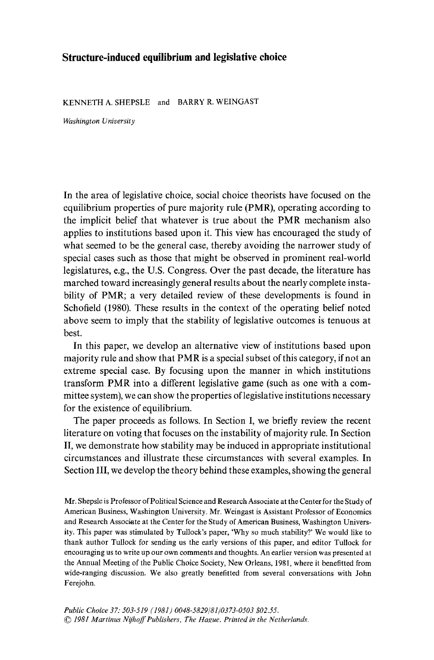# **Structure-induced equilibrium and legislative choice**

KENNETH A. SHEPSLE and BARRY R. WEINGAST

*Washington University* 

In the area of legislative choice, social choice theorists have focused on the equilibrium properties of pure majority rule (PMR), operating according to the implicit belief that whatever is true about the PMR mechanism also applies to institutions based upon it. This view has encouraged the study of what seemed to be the general case, thereby avoiding the narrower study of special cases such as those that might be observed in prominent real-world legislatures, e.g., the U.S. Congress. Over the past decade, the literature has marched toward increasingly general results about the nearly complete instability of PMR; a very detailed review of these developments is found in Schofield (1980). These results in the context of the operating belief noted above seem to imply that the stability of legislative outcomes is tenuous at best.

In this paper, we develop an alternative view of institutions based upon majority rule and show that PMR is a special subset of this category, if not an extreme special case. By focusing upon the manner in which institutions transform PMR into a different legislative game (such as one with a committee system), we can show the properties of legislative institutions necessary for the existence of equilibrium.

The paper proceeds as follows. In Section I, we briefly review the recent literature on voting that focuses on the instability of majority rule. In Section II, we demonstrate how stability may be induced in appropriate institutional circumstances and illustrate these circumstances with several examples. In Section III, we develop the theory behind these examples, showing the general

Mr. Shepsle is Professor of Political Science and Research Associate at the Center for the Study of American Business, Washington University. Mr. Weingast is Assistant Professor of Economics and Research Associate at the Center for the Study of American Business, Washington University. This paper was stimulated by Tullock's paper, 'Why so much stability?' We would like to thank author Tullock for sending us the early versions of this paper, and editor Tullock for encouraging us to write up our own comments and thoughts. An earlier version was presented at the Annual Meeting of the Public Choice Society, New Orleans, 1981, where it benefitted from wide-ranging discussion. We also greatly benefitted from several conversations with John Ferejohn.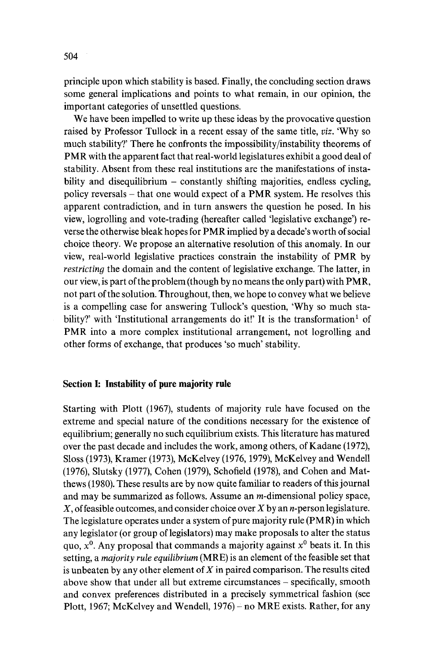principle upon which stability is based. Finally, the concluding section draws some general implications and points to what remain, in our opinion, the important categories of unsettled questions.

We have been impelled to write up these ideas by the provocative question raised by Professor Tullock in a recent essay of the same title, *viz.* 'Why so much stability?' There he confronts the impossibility/instability theorems of PMR with the apparent fact that real-world legislatures exhibit a good deal of stability. Absent from these real institutions are the manifestations of instability and disequilibrium - constantly shifting majorities, endless cycling, policy reversals - that one would expect of a PMR system. He resolves this apparent contradiction, and in turn answers the question he posed. In his view, logrolling and vote-trading (hereafter called 'legislative exchange') reverse the otherwise bleak hopes for PMR implied by a decade's worth of social choice theory. We propose an alternative resolution of this anomaly. In our view, real-world legislative practices constrain the instability of PMR by *restricting* the domain and the content of legislative exchange. The latter, in our view, is part of the problem (though by no means the only part) with PMR, not part of the solution. Throughout, then, we hope to convey what we believe is a compelling case for answering Tullock's question, 'Why so much stability?' with 'Institutional arrangements do it!' It is the transformation<sup>1</sup> of PMR into a more complex institutional arrangement, not logrolling and other forms of exchange, that produces 'so much' stability.

### **Section I: Instability of pure majority rule**

Starting with Plott (1967), students of majority rule have focused on the extreme and special nature of the conditions necessary for the existence of equilibrium; generally no such equilibrium exists. This literature has matured over the past decade and includes the work, among others, of Kadane (1972), Sloss (1973), Kramer (1973), McKelvey (1976, 1979), McKelvey and Wendell (1976), Slutsky (1977), Cohen (1979), Schofield (1978), and Cohen and Matthews (1980). These results are by now quite familiar to readers of this journal and may be summarized as follows. Assume an m-dimensional policy space,  $X$ , of feasible outcomes, and consider choice over  $X$  by an *n*-person legislature. The legislature operates under a system of pure majority rule (PMR) in which any legislator (or group of legislators) may make proposals to alter the status quo,  $x^0$ . Any proposal that commands a majority against  $x^0$  beats it. In this setting, a *majority rule equilibrium* (MRE) is an element of the feasible set that is unbeaten by any other element of  $X$  in paired comparison. The results cited above show that under all but extreme circumstances – specifically, smooth and convex preferences distributed in a precisely symmetrical fashion (see Plott, 1967; McKelvey and Wendell, 1976) = no MRE exists. Rather, for any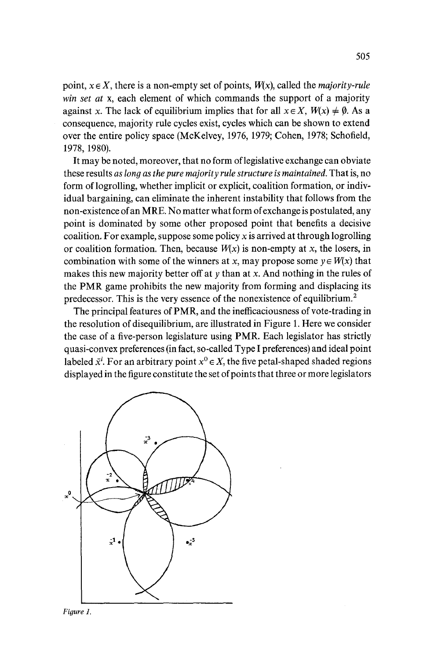point,  $x \in X$ , there is a non-empty set of points,  $W(x)$ , called the *majority-rule win set at* x, each element of which commands the support of a majority against x. The lack of equilibrium implies that for all  $x \in X$ ,  $W(x) \neq \emptyset$ . As a consequence, majority rule cycles exist, cycles which can be shown to extend over the entire policy space (McKelvey, 1976, 1979; Cohen, 1978; Schofield, 1978, 1980).

It may be noted, moreover, that no form of legislative exchange can obviate these results *as long as the pure majority rule structure is maintained*. That is, no form of logrolling, whether implicit or explicit, coalition formation, or individual bargaining, can eliminate the inherent instability that follows from the non-existence of an MRE. No matter what form of exchange is postulated, any point is dominated by some other proposed point that benefits a decisive coalition. For example, suppose some policy  $x$  is arrived at through logrolling or coalition formation. Then, because  $W(x)$  is non-empty at x, the losers, in combination with some of the winners at x, may propose some  $y \in W(x)$  that makes this new majority better off at  $y$  than at  $x$ . And nothing in the rules of the PMR game prohibits the new majority from forming and displacing its predecessor. This is the very essence of the nonexistence of equilibrium. 2

The principal features of PMR, and the inefficaciousness of vote-trading in the resolution of disequilibrium, are illustrated in Figure 1. Here we consider the case of a five-person legislature using PMR. Each legislator has strictly quasi-convex preferences (in fact, so-called Type I preferences) and ideal point labeled  $\bar{x}^i$ . For an arbitrary point  $x^0 \in X$ , the five petal-shaped shaded regions displayed in the figure constitute the set of points that three or more legislators



*Figure 1.*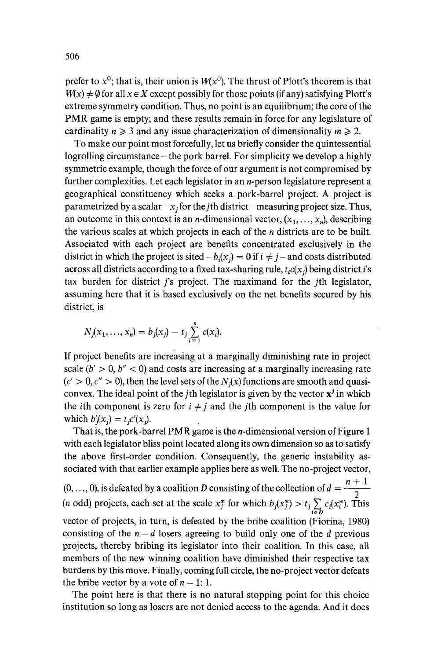prefer to  $x^0$ ; that is, their union is  $W(x^0)$ . The thrust of Plott's theorem is that  $W(x) \neq \emptyset$  for all  $x \in X$  except possibly for those points (if any) satisfying Plott's extreme symmetry condition. Thus, no point is an equilibrium; the core of the PMR game is empty; and these results remain in force for any legislature of cardinality  $n \geq 3$  and any issue characterization of dimensionality  $m \geq 2$ .

To make our point most forcefully, let us briefly consider the quintessential logrolling circumstance - the pork barrel. For simplicity we develop a highly symmetric example, though the force of our argument is not compromised by further complexities. Let each legislator in an n-person legislature represent a geographical constituency which seeks a pork-barrel project. A project is parametrized by a scalar  $-x_i$  for the *j*th district – measuring project size. Thus, an outcome in this context is an *n*-dimensional vector,  $(x_1, \ldots, x_n)$ , describing the various scales at which projects in each of the n districts are to be built. Associated with each project are benefits concentrated exclusively in the district in which the project is sited  $-b<sub>i</sub>(x<sub>i</sub>) = 0$  if  $i \neq j$  - and costs distributed across all districts according to a fixed tax-sharing rule,  $t_i c(x_i)$  being district *i*'s tax burden for district j's project. The maximand for the jth legislator, assuming here that it is based exclusively on the net benefits secured by his district, is

$$
N_j(x_1, ..., x_n) = b_j(x_j) - t_j \sum_{i=1}^n c(x_i).
$$

If project benefits are increasing at a marginally diminishing rate in project scale  $(b' > 0, b'' < 0)$  and costs are increasing at a marginally increasing rate  $(c' > 0, c'' > 0)$ , then the level sets of the *N<sub>j</sub>*(*x*) functions are smooth and quasiconvex. The ideal point of the jth legislator is given by the vector  $x^j$  in which the *i*th component is zero for  $i \neq j$  and the *j*th component is the value for which  $b'(x_i) = t_i c'(x_i)$ .

That is, the pork-barrel PMR game is the n-dimensional version of Figure 1 with each legislator bliss point located along its own dimension so as to satisfy the above first-order condition. Consequently, the generic instability associated with that earlier example applies here as well. The no-project vector,

 $(0, \ldots, 0)$ , is defeated by a coalition D consisting of the collection of  $d = \frac{n+1}{2}$ 2 (*n* odd) projects, each set at the scale  $x_i^*$  for which  $b_j(x_j^*) > t_j \sum_{i \in D} c_i(x_i^*)$ . This vector of projects, in turn, is defeated by the bribe coalition (Fiorina, 1980) consisting of the  $n-d$  losers agreeing to build only one of the d previous projects, thereby bribing its legislator into their coalition. In this case, all members of the new winning coalition have diminished their respective tax burdens by this move. Finally, coming full circle, the no-project vector defeats the bribe vector by a vote of  $n - 1$ : 1.

The point here is that there is no natural stopping point for this choice institution so long as losers are not denied access to the agenda. And it does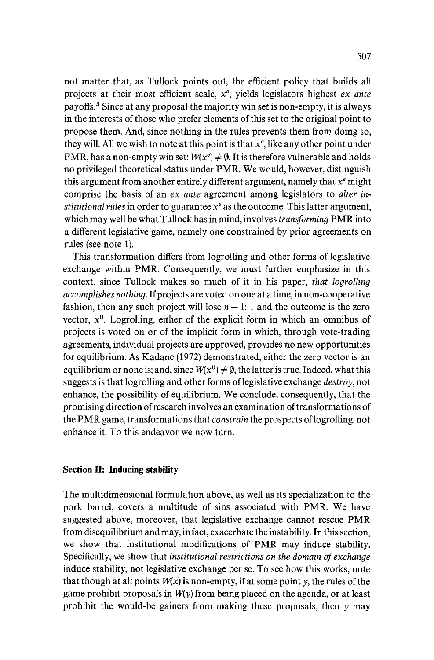not matter that, as Tullock points out, the efficient policy that builds all projects at their most efficient scale,  $x^e$ , yields legislators highest *ex ante* payoffs? Since at any proposal the majority win set is non-empty, it is always in the interests of those who prefer elements of this set to the original point to propose them. And, since nothing in the rules prevents them from doing so, they will. All we wish to note at this point is that  $x<sup>e</sup>$ , like any other point under PMR, has a non-empty win set:  $W(x^e) \neq \emptyset$ . It is therefore vulnerable and holds no privileged theoretical status under PMR. We would, however, distinguish this argument from another entirely different argument, namely that  $x<sup>e</sup>$  might comprise the basis of an *ex ante* agreement among legislators to *alter institutional rules* in order to guarantee  $x^e$  as the outcome. This latter argument, which may well be what Tullock has in mind, involves *transforming* PMR into a different legislative game, namely one constrained by prior agreements on rules (see note 1).

This transformation differs from logrolling and other forms of legislative exchange within PMR. Consequently, we must further emphasize in this context, since Tullock makes so much of it in his paper, *that logrolling accomplishes nothing.* If projects are voted on one at a time, in non-cooperative fashion, then any such project will lose  $n-1$ : 1 and the outcome is the zero vector,  $x^0$ . Logrolling, either of the explicit form in which an omnibus of projects is voted on or of the implicit form in which, through vote-trading agreements, individual projects are approved, provides no new opportunities for equilibrium. As Kadane (1972) demonstrated, either the zero vector is an equilibrium or none is; and, since  $W(x^0) \neq \emptyset$ , the latter is true. Indeed, what this suggests is that logrolling and other forms of legislative exchange *destroy,* not enhance, the possibility of equilibrium. We conclude, consequently, that the promising direction of research involves an examination of transformations of the PMR game, transformations that *constrain* the prospects of logrolling, not enhance it. To this endeavor we now turn.

## **Section II: Inducing stability**

The multidimensional formulation above, as well as its specialization to the pork barrel, covers a multitude of sins associated with PMR. We have suggested above, moreover, that legislative exchange cannot rescue PMR from disequilibrium and may, in fact, exacerbate the instability. In this section, we show that institutional modifications of PMR may induce stability. Specifically, we show that *institutional restrictions on the domain of exchange*  induce stability, not legislative exchange per se. To see how this works, note that though at all points  $W(x)$  is non-empty, if at some point y, the rules of the game prohibit proposals in *W(y)* from being placed on the agenda, or at least prohibit the would-be gainers from making these proposals, then y may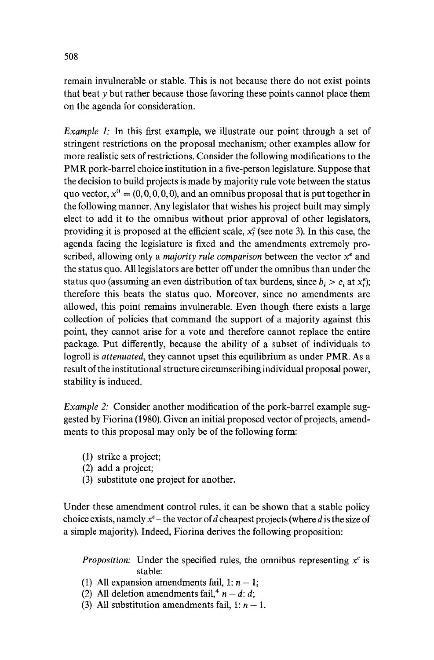remain invulnerable or stable. This is not because there do not exist points that beat  $\nu$  but rather because those favoring these points cannot place them on the agenda for consideration.

*Example 1:* In this first example, we illustrate our point through a set of stringent restrictions on the proposal mechanism; other examples allow for more realistic sets of restrictions. Consider the following modifications to the PMR pork-barrel choice institution in a five-person legislature. Suppose that the decision to build projects is made by majority rule vote between the status quo vector,  $x^0 = (0, 0, 0, 0, 0)$ , and an omnibus proposal that is put together in the following manner. Any legislator that wishes his project built may simply elect to add it to the omnibus without prior approval of other legislators, providing it is proposed at the efficient scale,  $x_i^e$  (see note 3). In this case, the agenda facing the legislature is fixed and the amendments extremely proscribed, allowing only a *majority rule comparison* between the vector  $x^e$  and the status quo. All legislators are better off under the omnibus than under the status quo (assuming an even distribution of tax burdens, since  $b_i > c_i$  at  $x_i^e$ ); therefore this beats the status quo. Moreover, since no amendments are allowed, this point remains invulnerable. Even though there exists a large collection of policies that command the support of a majority against this point, they cannot arise for a vote and therefore cannot replace the entire package. Put differently, because the ability of a subset of individuals to logroll is *attenuated,* they cannot upset this equilibrium as under PMR. As a result of the institutional structure circumscribing individual proposal power, stability is induced.

*Example 2:* Consider another modification of the pork-barrel example suggested by Fiorina (1980). Given an initial proposed vector of projects, amendments to this proposal may only be of the following form:

- (1) strike a project;
- (2) add a project;
- (3) substitute one project for another.

Under these amendment control rules, it can be shown that a stable policy choice exists, namely  $x^c$  – the vector of d cheapest projects (where d is the size of a simple majority). Indeed, Fiorina derives the following proposition:

*Proposition:* Under the specified rules, the omnibus representing  $x^c$  is stable:

- (1) All expansion amendments fail, 1:  $n 1$ ;
- (2) All deletion amendments fail,<sup>4</sup>  $n d$ : d;
- (3) All substitution amendments fail,  $1: n 1$ .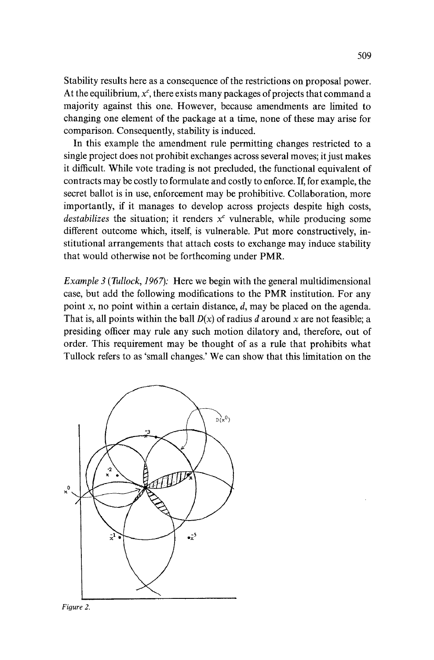Stability results here as a consequence of the restrictions on proposal power. At the equilibrium,  $x^c$ , there exists many packages of projects that command a majority against this one. However, because amendments are limited to changing one element of the package at a time, none of these may arise for comparison. Consequently, stability is induced.

In this example the amendment rule permitting changes restricted to a single project does not prohibit exchanges across several moves; it just makes it difficult. While vote trading is not precluded, the functional equivalent of contracts may be costly to formulate and costly to enforce. If, for example, the secret ballot is in use, enforcement may be prohibitive. Collaboration, more importantly, if it manages to develop across projects despite high costs, *destabilizes* the situation; it renders  $x^c$  vulnerable, while producing some different outcome which, itself, is vulnerable. Put more constructively, institutional arrangements that attach costs to exchange may induce stability that would otherwise not be forthcoming under PMR.

*Example 3 (Tullock, 1967):* Here we begin with the general multidimensional case, but add the following modifications to the PMR institution. For any point x, no point within a certain distance,  $d$ , may be placed on the agenda. That is, all points within the ball  $D(x)$  of radius d around x are not feasible; a presiding officer may rule any such motion dilatory and, therefore, out of order. This requirement may be thought of as a rule that prohibits what Tullock refers to as 'small changes.' We can show that this limitation on the

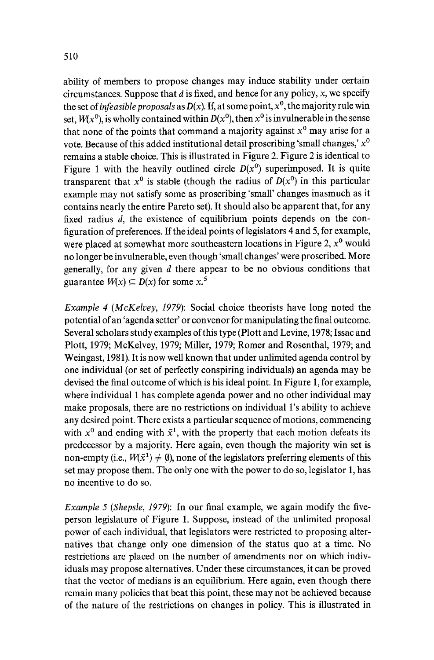ability of members to propose changes may induce stability under certain circumstances. Suppose that  $d$  is fixed, and hence for any policy,  $x$ , we specify the set of *infeasible proposals* as  $D(x)$ . If, at some point,  $x^0$ , the majority rule win set,  $W(x^0)$ , is wholly contained within  $D(x^0)$ , then  $x^0$  is invulnerable in the sense that none of the points that command a majority against  $x<sup>0</sup>$  may arise for a vote. Because of this added institutional detail proscribing 'small changes,'  $x^0$ remains a stable choice. This is illustrated in Figure 2. Figure 2 is identical to Figure 1 with the heavily outlined circle  $D(x^0)$  superimposed. It is quite transparent that  $x^0$  is stable (though the radius of  $D(x^0)$  in this particular example may not satisfy some as proscribing 'small' changes inasmuch as it contains nearly the entire Pareto set). It should also be apparent that, for any fixed radius *d,* the existence of equilibrium points depends on the configuration of preferences. If the ideal points of legislators 4 and 5, for example, were placed at somewhat more southeastern locations in Figure 2,  $x^0$  would no longer be invulnerable, even though 'small changes' were proscribed. More generally, for any given  $d$  there appear to be no obvious conditions that guarantee  $W(x) \subseteq D(x)$  for some x.<sup>5</sup>

*Example 4 (McKelvey, 1979):* Social choice theorists have long noted the potential of an 'agenda setter' or convenor for manipulating the final outcome. Several scholars study examples of this type (Plott and Levine, 1978; Issac and Plott, 1979; McKelvey, 1979; Miller, 1979; Romer and Rosenthal, 1979; and Weingast, 1981). It is now well known that under unlimited agenda control by one individual (or set of perfectly conspiring individuals) an agenda may be devised the final outcome of which is his ideal point. In Figure 1, for example, where individual 1 has complete agenda power and no other individual may make proposals, there are no restrictions on individual l's ability to achieve any desired point. There exists a particular sequence of motions, commencing with  $x^0$  and ending with  $\bar{x}^1$ , with the property that each motion defeats its predecessor by a majority. Here again, even though the majority win set is non-empty (i.e.,  $W(\bar{x}^1) \neq \emptyset$ ), none of the legislators preferring elements of this set may propose them. The only one with the power to do so, legislator 1, has no incentive to do so.

*Example 5 (Shepsle, 1979):* In our final example, we again modify the fiveperson legislature of Figure 1. Suppose, instead of the unlimited proposal power of each individual, that legislators were restricted to proposing alternatives that change only one dimension of the status quo at a time. No restrictions are placed on the number of amendments nor on which individuals may propose alternatives. Under these circumstances, it can be proved that the vector of medians is an equilibrium. Here again, even though there remain many policies that beat this point, these may not be achieved because of the nature of the restrictions on changes in policy. This is illustrated in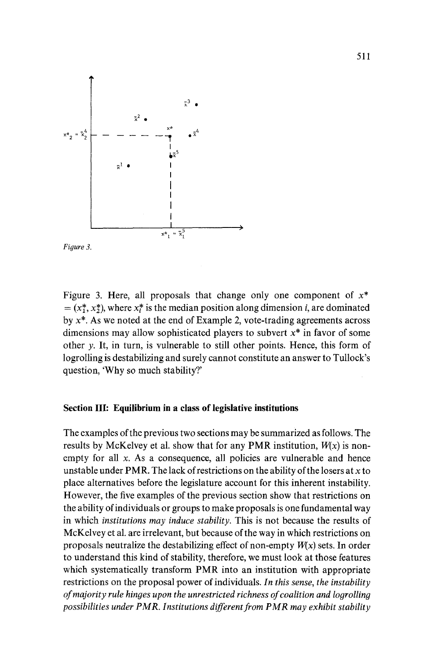

Figure 3. Here, all proposals that change only one component of  $x^*$  $=(x<sup>*</sup>, x<sup>*</sup>)$ , where  $x<sup>*</sup>$  is the median position along dimension *i*, are dominated by  $x^*$ . As we noted at the end of Example 2, vote-trading agreements across dimensions may allow sophisticated players to subvert  $x^*$  in favor of some other y. It, in turn, is vulnerable to still other points. Hence, this form of logrolling is destabilizing and surely cannot constitute an answer to Tullock's question, 'Why so much stability?'

## **Section III: Equilibrium in a class of legislative institutions**

The examples of the previous two sections may be summarized as follows. The results by McKelvey et al. show that for any PMR institution, *W(x)* is nonempty for all x. As a consequence, all policies are vulnerable and hence unstable under PMR. The lack of restrictions on the ability of the losers at  $x$  to place alternatives before the legislature account for this inherent instability. However, the five examples of the previous section show that restrictions on the ability of individuals or groups to make proposals is one fundamental way in which *institutions may induce stability.* This is not because the results of McKelvey et al. are irrelevant, but because of the way in which restrictions on proposals neutralize the destabilizing effect of non-empty *W(x)* sets. In order to understand this kind of stability, therefore, we must look at those features which systematically transform PMR into an institution with appropriate restrictions on the proposal power of individuals. *In this sense, the instability of majority rule hinges upon the unrestricted richness of coalition and logrolling possibilities under PMR. Institutions different from PMR may exhibit stability*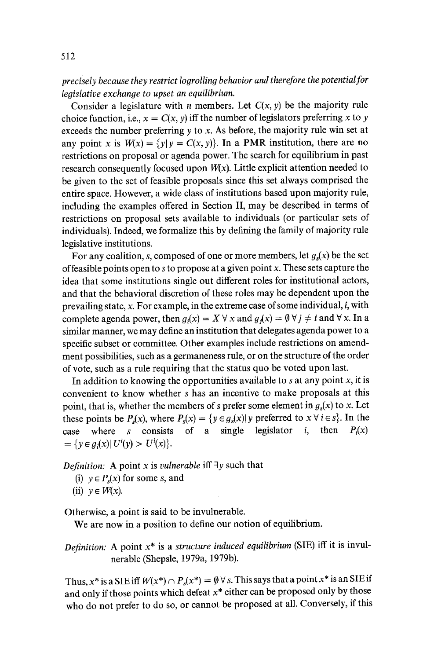*precisely because they restrict logrolling behavior and therefore the potential for legislative exchange to upset an equilibrium.* 

Consider a legislature with *n* members. Let  $C(x, y)$  be the majority rule choice function, i.e.,  $x = C(x, y)$  iff the number of legislators preferring x to y exceeds the number preferring  $y$  to  $x$ . As before, the majority rule win set at any point x is  $W(x) = \{y | y = C(x, y)\}\$ . In a PMR institution, there are no restrictions on proposal or agenda power. The search for equilibrium in past research consequently focused upon  $W(x)$ . Little explicit attention needed to be given to the set of feasible proposals since this set always comprised the entire space. However, a wide class of institutions based upon majority rule, including the examples offered in Section II, may be described in terms of restrictions on proposal sets available to individuals (or particular sets of individuals). Indeed, we formalize this by defining the family of majority rule legislative institutions.

For any coalition, s, composed of one or more members, let  $g_s(x)$  be the set of feasible points open to s to propose at a given point x. These sets capture the idea that some institutions single out different roles for institutional actors, and that the behavioral discretion of these roles may be dependent upon the prevailing state, x: For example, in the extreme case of some individual, i, with complete agenda power, then  $g_i(x) = X \forall x$  and  $g_j(x) = \emptyset \forall j \neq i$  and  $\forall x$ . In a similar manner, we may define an institution that delegates agenda power to a specific subset or committee. Other examples include restrictions on amendment possibilities, such as a germaneness rule, or on the structure of the order of vote, such as a rule requiring that the status quo be voted upon last.

In addition to knowing the opportunities available to s at any point  $x$ , it is convenient to know whether s has an incentive to make proposals at this point, that is, whether the members of s prefer some element in  $g_s(x)$  to x. Let these points be  $P_s(x)$ , where  $P_s(x) = \{y \in g_s(x) | y \text{ preferred to } x \forall i \in s\}$ . In the case where s consists of a single legislator *i*, then  $P_i(x)$  $= \{y \in g_i(x) | U^i(y) > U^i(x) \}.$ 

*Definition:* A point x is *vulnerable* iff  $\exists y$  such that

- (i)  $y \in P_s(x)$  for some s, and
- (ii)  $y \in W(x)$ .

Otherwise, a point is said to be invulnerable.

We are now in a position to define our notion of equilibrium.

*Definition:* A point x\* is a *structure induced equilibrium* (SIE) iff it is invulnerable (Shepsle, 1979a, 1979b).

Thus,  $x^*$  is a SIE iff  $W(x^*) \cap P_s(x^*) = \emptyset$   $\forall$  s. This says that a point  $x^*$  is an SIE if and only if those points which defeat  $x^*$  either can be proposed only by those who do not prefer to do so, or cannot be proposed at all. Conversely, if this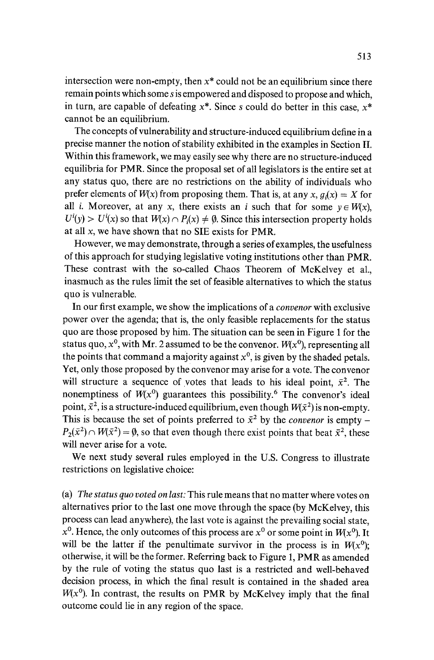intersection were non-empty, then  $x^*$  could not be an equilibrium since there remain points which some s is empowered and disposed to propose and which, in turn, are capable of defeating  $x^*$ . Since s could do better in this case,  $x^*$ cannot be an equilibrium.

The concepts of vulnerability and structure-induced equilibrium define in a precise manner the notion of stability exhibited in the examples in Section II. Within this framework, we may easily see why there are no structure-induced equilibria for PMR. Since the proposal set of all legislators is the entire set at any status quo, there are no restrictions on the ability of individuals who prefer elements of  $W(x)$  from proposing them. That is, at any  $x, g_i(x) = X$  for all *i*. Moreover, at any *x*, there exists an *i* such that for some  $y \in W(x)$ ,  $U^{i}(y) > U^{i}(x)$  so that  $W(x) \cap P_{i}(x) \neq \emptyset$ . Since this intersection property holds at all  $x$ , we have shown that no SIE exists for PMR.

However, we may demonstrate, through a series of examples, the usefulness of this approach for studying legislative voting institutions other than PMR. These contrast with the so-called Chaos Theorem of McKelvey et al., inasmuch as the rules limit the set of feasible alternatives to which the status quo is vulnerable.

In our first example, we show the implications of a *convenor* with exclusive power over the agenda; that is, the only feasible replacements for the status quo are those proposed by him. The situation can be seen in Figure 1 for the status quo,  $x^0$ , with Mr. 2 assumed to be the convenor.  $W(x^0)$ , representing all the points that command a majority against  $x<sup>0</sup>$ , is given by the shaded petals. Yet, only those proposed by the convenor may arise for a vote. The convenor will structure a sequence of votes that leads to his ideal point,  $\bar{x}^2$ . The nonemptiness of  $W(x^0)$  guarantees this possibility.<sup>6</sup> The convenor's ideal point,  $\bar{x}^2$ , is a structure-induced equilibrium, even though  $W(\bar{x}^2)$  is non-empty. This is because the set of points preferred to  $\bar{x}^2$  by the *convenor* is empty - $P_2(\bar{x}^2) \cap W(\bar{x}^2) = \emptyset$ , so that even though there exist points that beat  $\bar{x}^2$ , these will never arise for a vote.

We next study several rules employed in the U.S. Congress to illustrate restrictions on legislative choice:

(a) *The status quo voted on last:* This rule means that no matter where votes on alternatives prior to the last one move through the space (by McKelvey, this process can lead anywhere), the last vote is against the prevailing social state,  $x<sup>0</sup>$ . Hence, the only outcomes of this process are  $x<sup>0</sup>$  or some point in  $W(x<sup>0</sup>)$ . It will be the latter if the penultimate survivor in the process is in  $W(x^0)$ ; otherwise, it will be the former. Referring back to Figure 1, PMR as amended by the rule of voting the status quo last is a restricted and well-behaved decision process, in which the final result is contained in the shaded area  $W(x<sup>0</sup>)$ . In contrast, the results on PMR by McKelvey imply that the final outcome could lie in any region of the space.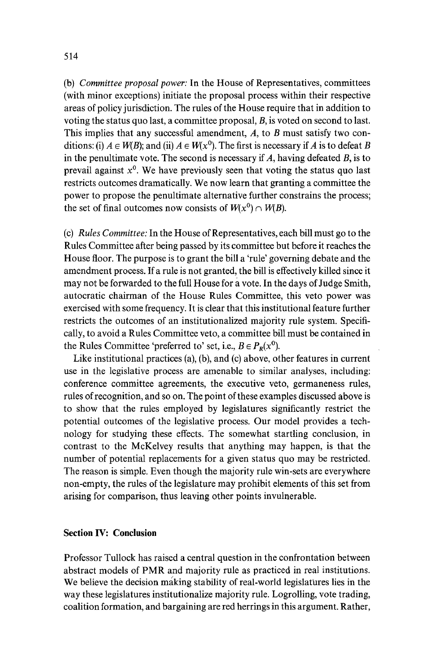(b) *Committee proposal power:* In the House of Representatives, committees (with minor exceptions) initiate the proposal process within their respective areas of policy jurisdiction. The rules of the House require that in addition to voting the status quo last, a committee proposal, B, is voted on second to last. This implies that any successful amendment,  $A$ , to  $B$  must satisfy two conditions: (i)  $A \in W(B)$ ; and (ii)  $A \in W(x^0)$ . The first is necessary if A is to defeat B in the penultimate vote. The second is necessary if  $A$ , having defeated  $B$ , is to prevail against  $x^0$ . We have previously seen that voting the status quo last restricts outcomes dramatically. We now learn that granting a committee the power to propose the penultimate alternative further constrains the process; the set of final outcomes now consists of  $W(x^0) \cap W(B)$ .

(c) *Rules Committee:* In the House of Representatives, each bill must go to the Rules Committee after being passed by its committee but before it reaches the House floor. The purpose is to grant the bill a 'rule' governing debate and the amendment process. If a rule is not granted, the bill is effectively killed since it may not be forwarded to the full House for a vote. In the days of Judge Smith, autocratic chairman of the House Rules Committee, this veto power was exercised with some frequency. It is clear that this institutional feature further restricts the outcomes of an institutionalized majority rule system. Specifically, to avoid a Rules Committee veto, a committee bill must be contained in the Rules Committee 'preferred to' set, i.e.,  $B \in P_R(x^0)$ .

Like institutional practices (a), (b), and (c) above, other features in current use in the legislative process are amenable to similar analyses, including: conference committee agreements, the executive veto, germaneness rules, rules of recognition, and so on. The point of these examples discussed above is to show that the rules employed by legislatures significantly restrict the potential outcomes of the legislative process. Our model provides a technology for studying these effects. The somewhat startling conclusion, in contrast to the McKelvey results that anything may happen, is that the number of potential replacements for a given status quo may be restricted. The reason is simple. Even though the majority rule win-sets are everywhere non-empty, the rules of the legislature may prohibit elements of this set from arising for comparison, thus leaving other points invulnerable.

#### **Section IV: Conclusion**

Professor Tullock has raised a central question in the confrontation between abstract models of PMR and majority rule as practiced in real institutions. We believe the decision making stability of real-world legislatures lies in the way these legislatures institutionalize majority rule. Logrolling, vote trading, coalition formation, and bargaining are red herrings in this argument. Rather,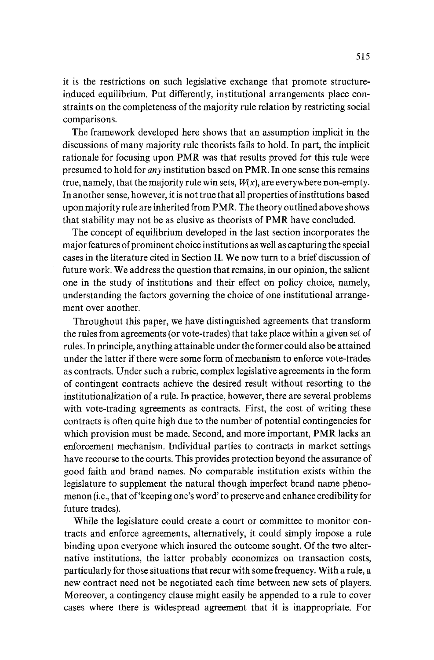it is the restrictions on such legislative exchange that promote structureinduced equilibrium. Put differently, institutional arrangements place constraints on the completeness of the majority rule relation by restricting social comparisons.

The framework developed here shows that an assumption implicit in the discussions of many majority rule theorists fails to hold. In part, the implicit rationale for focusing upon PMR was that results proved for this rule were presumed to hold for *any* institution based on PMR. In one sense this remains true, namely, that the majority rule win sets, *W(x),* are everywhere non-empty. In another sense, however, it is not true that all properties of institutions based upon majority rule are inherited from PMR. The theory outlined above shows that stability may not be as elusive as theorists of PMR have concluded.

The concept of equilibrium developed in the last section incorporates the major features of prominent choice institutions as well as capturing the special cases in the literature cited in Section II. We now turn to a brief discussion of future work. We address the question that remains, in our opinion, the salient one in the study of institutions and their effect on policy choice, namely, understanding the factors governing the choice of one institutional arrangement over another.

Throughout this paper, we have distinguished agreements that transform the rules from agreements (or vote-trades) that take place within a given set of rules. In principle, anything attainable under the former could also be attained under the latter if there were some form of mechanism to enforce vote-trades as contracts. Under such a rubric, complex legislative agreements in the form of contingent contracts achieve the desired result without resorting to the institutionalization of a rule. In practice, however, there are several problems with vote-trading agreements as contracts. First, the cost of writing these contracts is often quite high due to the number of potential contingencies for which provision must be made. Second, and more important, PMR lacks an enforcement mechanism. Individual parties to contracts in market settings have recourse to the courts. This provides protection beyond the assurance of good faith and brand names. No comparable institution exists within the legislature to supplement the natural though imperfect brand name phenomenon (i.e., that of'keeping one's word' to preserve and enhance credibility for future trades).

While the legislature could create a court or committee to monitor contracts and enforce agreements, alternatively, it could simply impose a rule binding upon everyone which insured the outcome sought. Of the two alternative institutions, the latter probably economizes on transaction costs, particularly for those situations that recur with some frequency. With a rule, a new contract need not be negotiated each time between new sets of players. Moreover, a contingency clause might easily be appended to a rule to cover cases where there is widespread agreement that it is inappropriate. For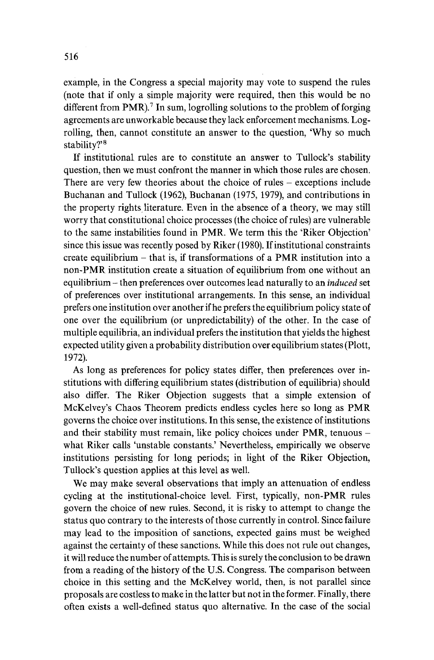example, in the Congress a special majority may vote to suspend the rules (note that if only a simple majority were required, then this would be no different from PMR).<sup>7</sup> In sum, logrolling solutions to the problem of forging agreements are unworkable because they lack enforcement mechanisms. Logrolling, then, cannot constitute an answer to the question, 'Why so much stability?'<sup>8</sup>

If institutional, rules are to constitute an answer to Tullock's stability question, then we must confront the manner in which those rules are chosen. There are very few theories about the choice of rules  $-$  exceptions include Buchanan and Tullock (1962), Buchanan (1975, 1979), and contributions in the property rights literature. Even in the absence of a theory, we may still worry that constitutional choice processes (the choice of rules) are vulnerable to the same instabilities found in PMR. We term this the 'Riker Objection' since this issue was recently posed by Riker (1980). If institutional constraints create equilibrium  $-$  that is, if transformations of a PMR institution into a non-PMR institution create a situation of equilibrium from one without an equilibrium- then preferences over outcomes lead naturally to an *induced* set of preferences over institutional arrangements. In this sense, an individual prefers one institution over another if he prefers the equilibrium policy state of one over the equilibrium (or unpredictability) of the other. In the case of multiple equilibria, an individual prefers the institution that yields the highest expected utility given a probability distribution over equilibrium states (Plott, 1972).

As long as preferences for policy states differ, then preferences over institutions with differing equilibrium states (distribution of equilibria) should also differ. The Riker Objection suggests that a simple extension of McKelvey's Chaos Theorem predicts endless cycles here so long as PMR governs the choice over institutions. In this sense, the existence of institutions and their stability must remain, like policy choices under PMR, tenuous  $$ what Riker calls 'unstable constants.' Nevertheless, empirically we observe institutions persisting for long periods; in light of the Riker Objection, Tullock's question applies at this level as well.

We may make several observations that imply an attenuation of endless cycling at the institutional-choice level. First, typically, non-PMR rules govern the choice of new rules. Second, it is risky to attempt to change the status quo contrary to the interests of those currently in control. Since failure may lead to the imposition of sanctions, expected gains must be weighed against the certainty of these sanctions. While this does not rule out changes, it will reduce the number of attempts. This is surely the conclusion to be drawn from a reading of the history of the U.S. Congress. The comparison between choice in this setting and the McKelvey world, then, is not parallel since proposals are costless to make in the latter but not in the former. Finally, there often exists a well-defined status quo alternative. In the case of the social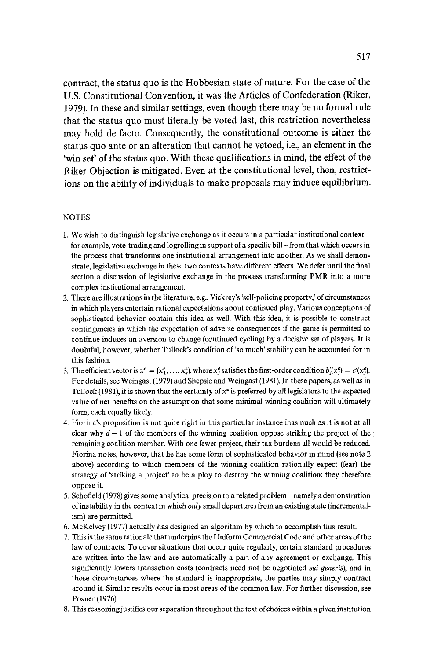**contract, the status quo is the Hobbesian state of nature. For the case of the U.S. Constitutional Convention, it was the Articles of Confederation (Riker, 1979). In these and similar settings, even though there may be no formal rule that the status quo must literally be voted last, this restriction nevertheless may hold de facto. Consequently, the constitutional outcome is either the status quo ante or an alteration that cannot be vetoed, i.e., an element in the 'win set' of the status quo. With these qualifications in mind, the effect of the Riker Objection is mitigated. Even at the constitutional level, then, restrictions on the ability of individuals to make proposals may induce equilibrium.** 

#### **NOTES**

- 1. We wish to distinguish legislative exchange as it occurs in a particular institutional context for example, vote-trading and logrolling in support of a specific bill - from that which occurs in the process that transforms one institutional arrangement into another. As we shall demonstrate, legislative exchange in these two contexts have different effects. We defer until the final section a discussion of legislative exchange in the process transforming PMR into a more complex institutional arrangement.
- 2. There are illustrations in the literature, e.g., Vickrey's 'self-policing property,' of circumstances in which players entertain rational expectations about continued play. Various conceptions of sophisticated behavior contain this idea as well. With this idea, it is possible to construct contingencies in which the expectation of adverse consequences if the game is permitted to continue induces an aversion to change (continued cycling) by a decisive set of players. It is doubtful, however, whether Tullock's condition of 'so much' stability can be accounted for in this fashion.
- 3. The efficient vector is  $x^e = (x_1^e, \ldots, x_n^e)$ , where  $x_i^e$  satisfies the first-order condition  $b'_i(x_i^e) = c'(x_i^e)$ . For details, see Weingast (1979) and Shepsle and Weingast (1981). In these papers, as well as in Tullock (1981), it is shown that the certainty of  $x^e$  is preferred by all legislators to the expected value of net benefits on the assumption that some minimal winning coalition will ultimately form, each equally likely.
- 4. Fiorina's proposition is not quite fight in this particular instance inasmuch as it is not at all clear why  $d-1$  of the members of the winning coalition oppose striking the project of the remaining coalition member. With one fewer project, their tax burdens all would be reduced. Fiorina notes, however, that he has some form of sophisticated behavior in mind (see note 2 above) according to which members of the winning coalition rationally expect (fear) the strategy of 'striking a project' to be a ploy to destroy the winning coalition; they therefore oppose it.
- 5. Schofield (1978) gives some analytical precision to a related problem namely a demonstration of instability in the context in which *only* small departures from an existing state (incrementalism) are permitted.
- 6. McKelvey (1977) actually has designed an algorithm by which to accomplish this result.
- 7. This is the same rationale that underpins the Uniform Commercial Code and other areas of the law of contracts. To cover situations that occur quite regularly, certain standard procedures are written into the law and are automatically a part of any agreement or exchange. This significantly lowers transaction costs (contracts need not be negotiated *sui 9eneris),* and in those circumstances where the standard is inappropriate, the parties may simply contract around it. Similar results occur in most areas of the common law. For further discussion, see Posner (1976).
- 8. This reasoning justifies our separation throughout the text of choices within a given institution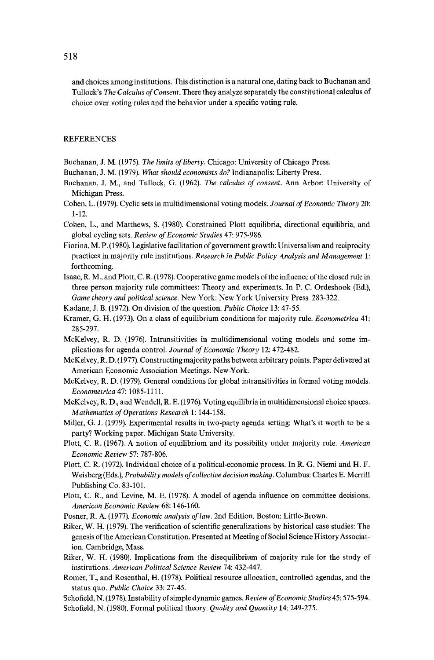and choices among institutions. This distinction is a natural one, dating back to Buchanan and Tullock's *The Calculus of Consent.* There they analyze separately the constitutional calculus of choice over voting, rules and the behavior under a specific voting rule.

#### REFERENCES

Buchanan, J. M. (1975). The *limits of liberty.* Chicago: University of Chicago Press.

- Buchanan, J. M. (1979). *What should economists do?* Indianapolis: Liberty Press.
- Buchanan, J. M., and Tullock, G. (1962). *The calculus of consent.* Ann Arbor: University of Michigan Press.
- Cohen, L. (1979). Cyclic sets in multidimensional voting models. *Journal of Economic Theory* 20: 1~12.
- Cohen, L., and Matthews, S. (1980). Constrained Plott equilibria, directional equilibria, and global cycling sets. *Review of Economic Studies* 47: 975-986.
- Fiorina, M. P. (1980). Legislative facilitation of government growth: Universalism and reciprocity practices in majority rule institutions. *Research in Public Policy Analysis and Manaoement* 1: forthcoming.
- Isaac, R. M., and Plott, C. R. (1978). Cooperative game models of the influence of the closed rule in three person majority rule committees: Theory and experiments. In P. C. Ordeshook (Ed.), *Game theory and political science.* New York: New York University Press. 283-322.
- Kadane, J. B. (1972). On division of the question. *Public Choice* 13: 47-55.
- Kramer, G. H. (1973). On a class of equilibrium conditions for majority rule. *Econometrica* 41: 285-297.
- McKelvey, R. D. (1976). Intransitivities in multidimensional voting models and some implications for agenda control. *Journal of Economic Theory* 12: 472-482.
- McKelvey, R. D. (1977). Constructing majority paths between arbitrary points. Paper delivered at American Economic Association Meetings. New .York.
- McKelvey, R. D. (1979). General conditions for global intransitivities in formal voting models. *Econometrica* 47:1085-1111.
- McKelvey, R. D., and Wendell, R. E. (1976). Voting equilibria in multidimensional choice spaces. *Mathematics of Operations Research* 1: 144-158.
- Miller, G. J. (1979). Experimental results in two-party agenda setting: What's it worth to be a party? Working paper. Michigan State University.
- Plott, C. R. (1967). A notion of equilibrium and its possibility under majority rule. *American Economic Review* 57: 787-806.
- Plott, C. R. (1972). Individual choice of a political-economic process. In R. G. Niemi and H. F. Weisberg (Eds.), *Probability models of collective decision makino.* Columbus: Charles E. Merrill Publishing Co. 83-101.
- Plott, C. R., and Levine, M. E. (1978). A model of agenda influence on committee decisions. *American Economic Review* 68: 146-160.
- Posner, R. A. (1977). *Economic analysis of law*. 2nd Edition. Boston: Little-Brown.
- Riker, W. H. (1979). The verification of scientific generalizations by historical case studies: The genesis of the American Constitution. Presented at Meeting of Social Science History Association. Cambridge, Mass.
- Riker, W. H. (1980). Implications from the disequilibrium of majority rule for the study of institutions. *American Political Science Review* 74: 432-447.
- Romer, T., and Rosenthal, H. (1978). Political resource allocation, controlled agendas, and the status quo. *Public Choice* 33: 27-45.
- Schofield, N. (1978). Instability of simple dynamic games. *Review of Economic Studies* 45: 575-594. Schofield, N. (1980). Formal political theory. *Quality and Quantity* 14: 249-275.